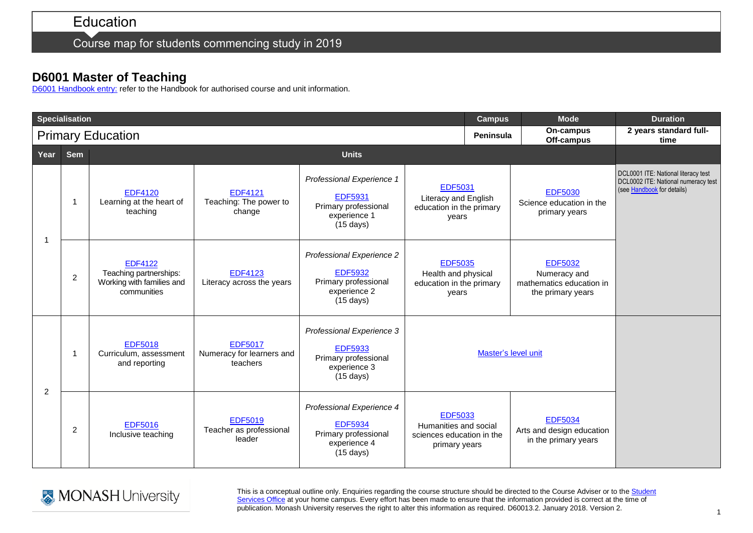Course map for students commencing study in 2019

## **D6001 Master of Teaching**

[D6001 Handbook entry:](http://www.monash.edu.au/pubs/2019handbooks/courses/D6001.html) refer to the Handbook for authorised course and unit information.

| <b>Specialisation</b>    |                |                                                                                      |                                                         |                                                                                                            |                                                                                       | <b>Campus</b>    | <b>Mode</b>                                                                     | <b>Duration</b>                                                                                          |
|--------------------------|----------------|--------------------------------------------------------------------------------------|---------------------------------------------------------|------------------------------------------------------------------------------------------------------------|---------------------------------------------------------------------------------------|------------------|---------------------------------------------------------------------------------|----------------------------------------------------------------------------------------------------------|
| <b>Primary Education</b> |                |                                                                                      |                                                         |                                                                                                            |                                                                                       | <b>Peninsula</b> | On-campus<br>Off-campus                                                         | 2 years standard full-<br>time                                                                           |
| Year                     | <b>Sem</b>     | <b>Units</b>                                                                         |                                                         |                                                                                                            |                                                                                       |                  |                                                                                 |                                                                                                          |
| -1                       | -1             | <b>EDF4120</b><br>Learning at the heart of<br>teaching                               | <b>EDF4121</b><br>Teaching: The power to<br>change      | Professional Experience 1<br><b>EDF5931</b><br>Primary professional<br>experience 1<br>$(15 \text{ days})$ | <b>EDF5031</b><br>Literacy and English<br>education in the primary<br>years           |                  | <b>EDF5030</b><br>Science education in the<br>primary years                     | DCL0001 ITE: National literacy test<br>DCL0002 ITE: National numeracy test<br>(see Handbook for details) |
|                          | $\overline{2}$ | <b>EDF4122</b><br>Teaching partnerships:<br>Working with families and<br>communities | <b>EDF4123</b><br>Literacy across the years             | Professional Experience 2<br><b>EDF5932</b><br>Primary professional<br>experience 2<br>$(15 \text{ days})$ | <b>EDF5035</b><br>Health and physical<br>education in the primary<br>years            |                  | <b>EDF5032</b><br>Numeracy and<br>mathematics education in<br>the primary years |                                                                                                          |
| $\overline{2}$           | -1             | <b>EDF5018</b><br>Curriculum, assessment<br>and reporting                            | <b>EDF5017</b><br>Numeracy for learners and<br>teachers | Professional Experience 3<br><b>EDF5933</b><br>Primary professional<br>experience 3<br>$(15 \text{ days})$ | Master's level unit                                                                   |                  |                                                                                 |                                                                                                          |
|                          | 2              | <b>EDF5016</b><br>Inclusive teaching                                                 | <b>EDF5019</b><br>Teacher as professional<br>leader     | Professional Experience 4<br><b>EDF5934</b><br>Primary professional<br>experience 4<br>$(15 \text{ days})$ | <b>EDF5033</b><br>Humanities and social<br>sciences education in the<br>primary years |                  | <b>EDF5034</b><br>Arts and design education<br>in the primary years             |                                                                                                          |



This is a conceptual outline only. Enquiries regarding the course structure should be directed to the Course Adviser or to the Student [Services Office](https://www.monash.edu/education/current-students/contact) at your home campus. Every effort has been made to ensure that the information provided is correct at the time of publication. Monash University reserves the right to alter this information as required. D60013.2. January 2018. Version 2.